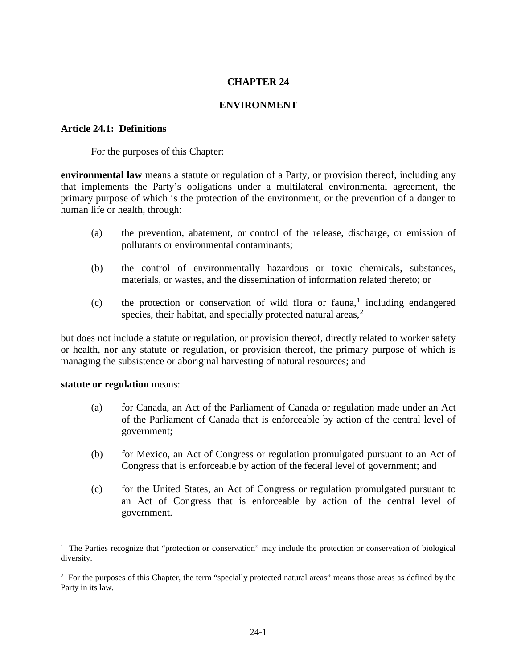### **CHAPTER 24**

### **ENVIRONMENT**

#### **Article 24.1: Definitions**

For the purposes of this Chapter:

**environmental law** means a statute or regulation of a Party, or provision thereof, including any that implements the Party's obligations under a multilateral environmental agreement, the primary purpose of which is the protection of the environment, or the prevention of a danger to human life or health, through:

- (a) the prevention, abatement, or control of the release, discharge, or emission of pollutants or environmental contaminants;
- (b) the control of environmentally hazardous or toxic chemicals, substances, materials, or wastes, and the dissemination of information related thereto; or
- (c) the protection or conservation of wild flora or fauna,<sup>[1](#page-0-0)</sup> including endangered species, their habitat, and specially protected natural areas,<sup>[2](#page-0-1)</sup>

but does not include a statute or regulation, or provision thereof, directly related to worker safety or health, nor any statute or regulation, or provision thereof, the primary purpose of which is managing the subsistence or aboriginal harvesting of natural resources; and

#### **statute or regulation** means:

 $\overline{\phantom{a}}$ 

- (a) for Canada, an Act of the Parliament of Canada or regulation made under an Act of the Parliament of Canada that is enforceable by action of the central level of government;
- (b) for Mexico, an Act of Congress or regulation promulgated pursuant to an Act of Congress that is enforceable by action of the federal level of government; and
- (c) for the United States, an Act of Congress or regulation promulgated pursuant to an Act of Congress that is enforceable by action of the central level of government.

<span id="page-0-0"></span><sup>&</sup>lt;sup>1</sup> The Parties recognize that "protection or conservation" may include the protection or conservation of biological diversity.

<span id="page-0-1"></span><sup>&</sup>lt;sup>2</sup> For the purposes of this Chapter, the term "specially protected natural areas" means those areas as defined by the Party in its law.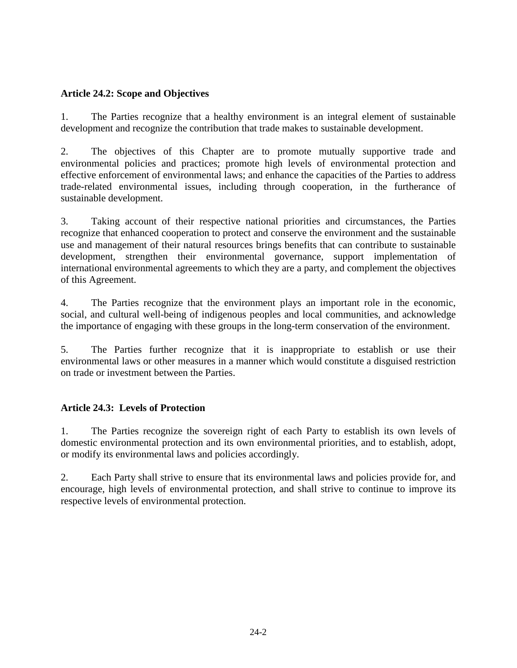### **Article 24.2: Scope and Objectives**

1. The Parties recognize that a healthy environment is an integral element of sustainable development and recognize the contribution that trade makes to sustainable development.

2. The objectives of this Chapter are to promote mutually supportive trade and environmental policies and practices; promote high levels of environmental protection and effective enforcement of environmental laws; and enhance the capacities of the Parties to address trade-related environmental issues, including through cooperation, in the furtherance of sustainable development.

3. Taking account of their respective national priorities and circumstances, the Parties recognize that enhanced cooperation to protect and conserve the environment and the sustainable use and management of their natural resources brings benefits that can contribute to sustainable development, strengthen their environmental governance, support implementation of international environmental agreements to which they are a party, and complement the objectives of this Agreement.

4. The Parties recognize that the environment plays an important role in the economic, social, and cultural well-being of indigenous peoples and local communities, and acknowledge the importance of engaging with these groups in the long-term conservation of the environment.

5. The Parties further recognize that it is inappropriate to establish or use their environmental laws or other measures in a manner which would constitute a disguised restriction on trade or investment between the Parties.

## **Article 24.3: Levels of Protection**

1. The Parties recognize the sovereign right of each Party to establish its own levels of domestic environmental protection and its own environmental priorities, and to establish, adopt, or modify its environmental laws and policies accordingly.

2. Each Party shall strive to ensure that its environmental laws and policies provide for, and encourage, high levels of environmental protection, and shall strive to continue to improve its respective levels of environmental protection.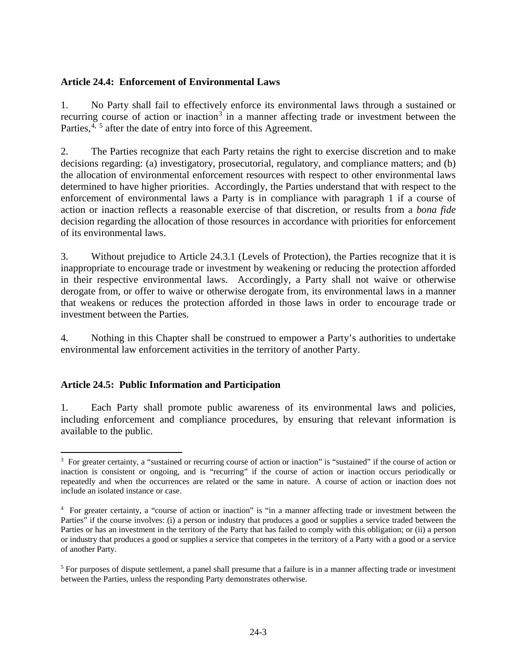### **Article 24.4: Enforcement of Environmental Laws**

1. No Party shall fail to effectively enforce its environmental laws through a sustained or recurring course of action or inaction<sup>[3](#page-2-0)</sup> in a manner affecting trade or investment between the Parties,<sup>[4](#page-2-1), [5](#page-2-2)</sup> after the date of entry into force of this Agreement.

2. The Parties recognize that each Party retains the right to exercise discretion and to make decisions regarding: (a) investigatory, prosecutorial, regulatory, and compliance matters; and (b) the allocation of environmental enforcement resources with respect to other environmental laws determined to have higher priorities. Accordingly, the Parties understand that with respect to the enforcement of environmental laws a Party is in compliance with paragraph 1 if a course of action or inaction reflects a reasonable exercise of that discretion, or results from a *bona fide* decision regarding the allocation of those resources in accordance with priorities for enforcement of its environmental laws.

3. Without prejudice to Article 24.3.1 (Levels of Protection), the Parties recognize that it is inappropriate to encourage trade or investment by weakening or reducing the protection afforded in their respective environmental laws. Accordingly, a Party shall not waive or otherwise derogate from, or offer to waive or otherwise derogate from, its environmental laws in a manner that weakens or reduces the protection afforded in those laws in order to encourage trade or investment between the Parties.

4. Nothing in this Chapter shall be construed to empower a Party's authorities to undertake environmental law enforcement activities in the territory of another Party.

## **Article 24.5: Public Information and Participation**

 $\overline{\phantom{a}}$ 

1. Each Party shall promote public awareness of its environmental laws and policies, including enforcement and compliance procedures, by ensuring that relevant information is available to the public.

<span id="page-2-0"></span><sup>&</sup>lt;sup>3</sup> For greater certainty, a "sustained or recurring course of action or inaction" is "sustained" if the course of action or inaction is consistent or ongoing, and is "recurring" if the course of action or inaction occurs periodically or repeatedly and when the occurrences are related or the same in nature. A course of action or inaction does not include an isolated instance or case.

<span id="page-2-1"></span><sup>4</sup> For greater certainty, a "course of action or inaction" is "in a manner affecting trade or investment between the Parties" if the course involves: (i) a person or industry that produces a good or supplies a service traded between the Parties or has an investment in the territory of the Party that has failed to comply with this obligation; or (ii) a person or industry that produces a good or supplies a service that competes in the territory of a Party with a good or a service of another Party.

<span id="page-2-2"></span><sup>5</sup> For purposes of dispute settlement, a panel shall presume that a failure is in a manner affecting trade or investment between the Parties, unless the responding Party demonstrates otherwise.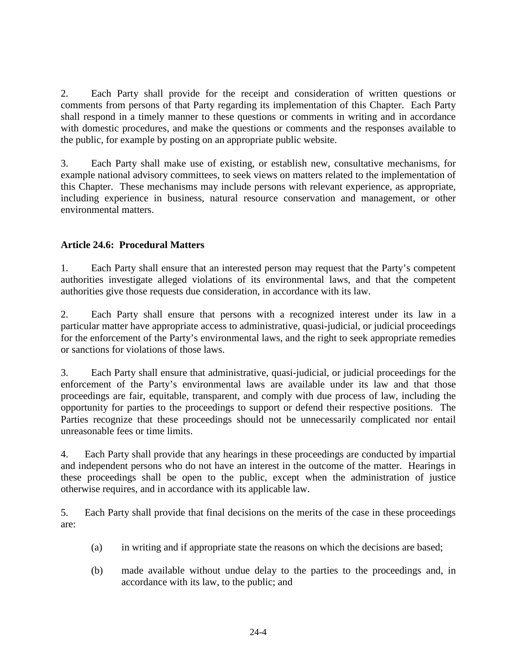2. Each Party shall provide for the receipt and consideration of written questions or comments from persons of that Party regarding its implementation of this Chapter. Each Party shall respond in a timely manner to these questions or comments in writing and in accordance with domestic procedures, and make the questions or comments and the responses available to the public, for example by posting on an appropriate public website.

3. Each Party shall make use of existing, or establish new, consultative mechanisms, for example national advisory committees, to seek views on matters related to the implementation of this Chapter. These mechanisms may include persons with relevant experience, as appropriate, including experience in business, natural resource conservation and management, or other environmental matters.

# **Article 24.6: Procedural Matters**

1. Each Party shall ensure that an interested person may request that the Party's competent authorities investigate alleged violations of its environmental laws, and that the competent authorities give those requests due consideration, in accordance with its law.

2. Each Party shall ensure that persons with a recognized interest under its law in a particular matter have appropriate access to administrative, quasi-judicial, or judicial proceedings for the enforcement of the Party's environmental laws, and the right to seek appropriate remedies or sanctions for violations of those laws.

3. Each Party shall ensure that administrative, quasi-judicial, or judicial proceedings for the enforcement of the Party's environmental laws are available under its law and that those proceedings are fair, equitable, transparent, and comply with due process of law, including the opportunity for parties to the proceedings to support or defend their respective positions. The Parties recognize that these proceedings should not be unnecessarily complicated nor entail unreasonable fees or time limits.

4. Each Party shall provide that any hearings in these proceedings are conducted by impartial and independent persons who do not have an interest in the outcome of the matter. Hearings in these proceedings shall be open to the public, except when the administration of justice otherwise requires, and in accordance with its applicable law.

5. Each Party shall provide that final decisions on the merits of the case in these proceedings are:

- (a) in writing and if appropriate state the reasons on which the decisions are based;
- (b) made available without undue delay to the parties to the proceedings and, in accordance with its law, to the public; and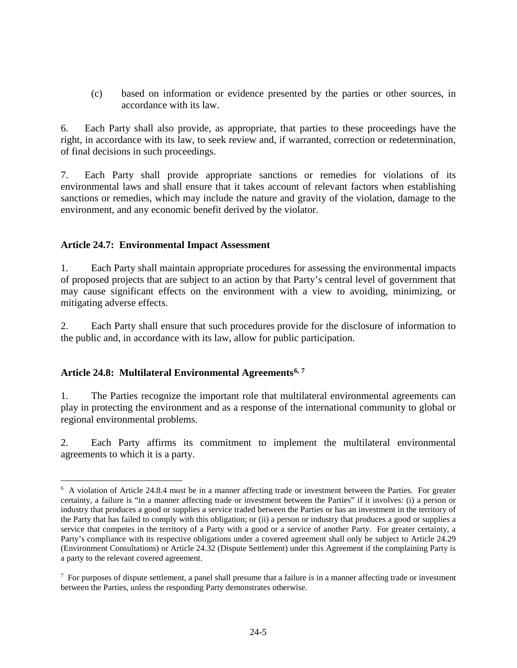(c) based on information or evidence presented by the parties or other sources, in accordance with its law.

6. Each Party shall also provide, as appropriate, that parties to these proceedings have the right, in accordance with its law, to seek review and, if warranted, correction or redetermination, of final decisions in such proceedings.

7. Each Party shall provide appropriate sanctions or remedies for violations of its environmental laws and shall ensure that it takes account of relevant factors when establishing sanctions or remedies, which may include the nature and gravity of the violation, damage to the environment, and any economic benefit derived by the violator.

## **Article 24.7: Environmental Impact Assessment**

1. Each Party shall maintain appropriate procedures for assessing the environmental impacts of proposed projects that are subject to an action by that Party's central level of government that may cause significant effects on the environment with a view to avoiding, minimizing, or mitigating adverse effects.

2. Each Party shall ensure that such procedures provide for the disclosure of information to the public and, in accordance with its law, allow for public participation.

## **Article 24.8: Multilateral Environmental Agreements[6](#page-4-0), [7](#page-4-1)**

 $\overline{\phantom{a}}$ 

1. The Parties recognize the important role that multilateral environmental agreements can play in protecting the environment and as a response of the international community to global or regional environmental problems.

2. Each Party affirms its commitment to implement the multilateral environmental agreements to which it is a party.

<span id="page-4-0"></span><sup>&</sup>lt;sup>6</sup> A violation of Article 24.8.4 must be in a manner affecting trade or investment between the Parties. For greater certainty, a failure is "in a manner affecting trade or investment between the Parties" if it involves: (i) a person or industry that produces a good or supplies a service traded between the Parties or has an investment in the territory of the Party that has failed to comply with this obligation; or (ii) a person or industry that produces a good or supplies a service that competes in the territory of a Party with a good or a service of another Party. For greater certainty, a Party's compliance with its respective obligations under a covered agreement shall only be subject to Article 24.29 (Environment Consultations) or Article 24.32 (Dispute Settlement) under this Agreement if the complaining Party is a party to the relevant covered agreement.

<span id="page-4-1"></span> $<sup>7</sup>$  For purposes of dispute settlement, a panel shall presume that a failure is in a manner affecting trade or investment</sup> between the Parties, unless the responding Party demonstrates otherwise.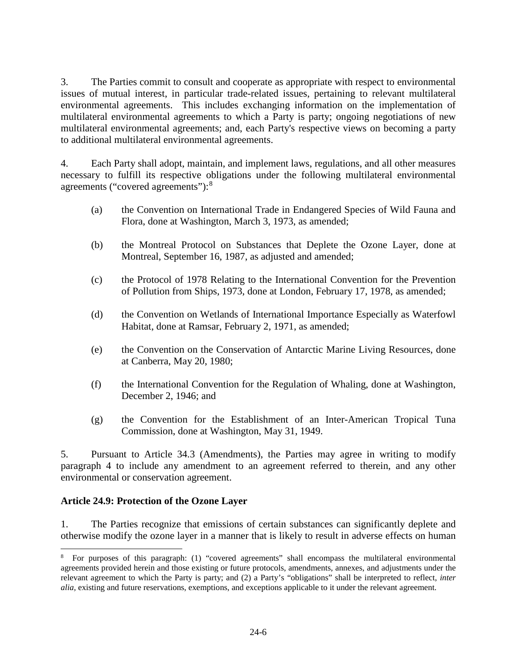3. The Parties commit to consult and cooperate as appropriate with respect to environmental issues of mutual interest, in particular trade-related issues, pertaining to relevant multilateral environmental agreements. This includes exchanging information on the implementation of multilateral environmental agreements to which a Party is party; ongoing negotiations of new multilateral environmental agreements; and, each Party's respective views on becoming a party to additional multilateral environmental agreements.

4. Each Party shall adopt, maintain, and implement laws, regulations, and all other measures necessary to fulfill its respective obligations under the following multilateral environmental agreements ("covered agreements"):[8](#page-5-0)

- (a) the Convention on International Trade in Endangered Species of Wild Fauna and Flora, done at Washington, March 3, 1973, as amended;
- (b) the Montreal Protocol on Substances that Deplete the Ozone Layer, done at Montreal, September 16, 1987, as adjusted and amended;
- (c) the Protocol of 1978 Relating to the International Convention for the Prevention of Pollution from Ships, 1973, done at London, February 17, 1978, as amended;
- (d) the Convention on Wetlands of International Importance Especially as Waterfowl Habitat, done at Ramsar, February 2, 1971, as amended;
- (e) the Convention on the Conservation of Antarctic Marine Living Resources, done at Canberra, May 20, 1980;
- (f) the International Convention for the Regulation of Whaling, done at Washington, December 2, 1946; and
- (g) the Convention for the Establishment of an Inter-American Tropical Tuna Commission, done at Washington, May 31, 1949.

5. Pursuant to Article 34.3 (Amendments), the Parties may agree in writing to modify paragraph 4 to include any amendment to an agreement referred to therein, and any other environmental or conservation agreement.

## **Article 24.9: Protection of the Ozone Layer**

l

1. The Parties recognize that emissions of certain substances can significantly deplete and otherwise modify the ozone layer in a manner that is likely to result in adverse effects on human

<span id="page-5-0"></span><sup>&</sup>lt;sup>8</sup> For purposes of this paragraph: (1) "covered agreements" shall encompass the multilateral environmental agreements provided herein and those existing or future protocols, amendments, annexes, and adjustments under the relevant agreement to which the Party is party; and (2) a Party's "obligations" shall be interpreted to reflect, *inter alia,* existing and future reservations, exemptions, and exceptions applicable to it under the relevant agreement.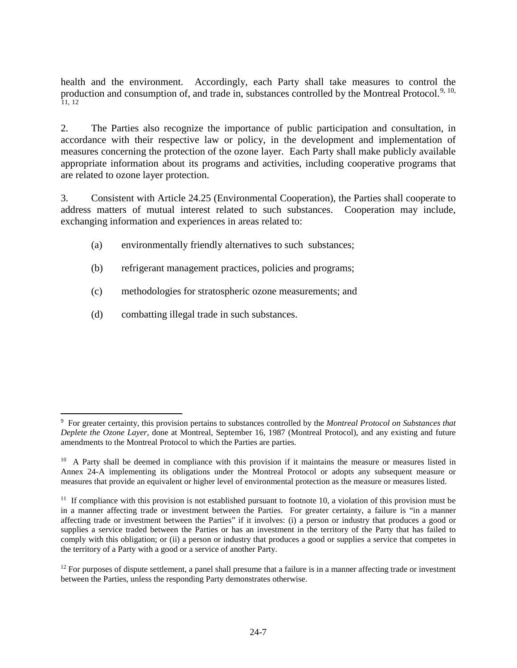health and the environment. Accordingly, each Party shall take measures to control the production and consumption of, and trade in, substances controlled by the Montreal Protocol.<sup>[9,](#page-6-0) [10](#page-6-1),</sup> [11,](#page-6-2) [12](#page-6-3)

2. The Parties also recognize the importance of public participation and consultation, in accordance with their respective law or policy, in the development and implementation of measures concerning the protection of the ozone layer. Each Party shall make publicly available appropriate information about its programs and activities, including cooperative programs that are related to ozone layer protection.

3. Consistent with Article 24.25 (Environmental Cooperation), the Parties shall cooperate to address matters of mutual interest related to such substances. Cooperation may include, exchanging information and experiences in areas related to:

- (a) environmentally friendly alternatives to such substances;
- (b) refrigerant management practices, policies and programs;
- (c) methodologies for stratospheric ozone measurements; and
- (d) combatting illegal trade in such substances.

<span id="page-6-0"></span>l <sup>9</sup> For greater certainty, this provision pertains to substances controlled by the *Montreal Protocol on Substances that Deplete the Ozone Layer*, done at Montreal, September 16, 1987 (Montreal Protocol), and any existing and future amendments to the Montreal Protocol to which the Parties are parties.

<span id="page-6-1"></span><sup>&</sup>lt;sup>10</sup> A Party shall be deemed in compliance with this provision if it maintains the measure or measures listed in Annex 24-A implementing its obligations under the Montreal Protocol or adopts any subsequent measure or measures that provide an equivalent or higher level of environmental protection as the measure or measures listed.

<span id="page-6-2"></span> $11$  If compliance with this provision is not established pursuant to footnote 10, a violation of this provision must be in a manner affecting trade or investment between the Parties. For greater certainty, a failure is "in a manner affecting trade or investment between the Parties" if it involves: (i) a person or industry that produces a good or supplies a service traded between the Parties or has an investment in the territory of the Party that has failed to comply with this obligation; or (ii) a person or industry that produces a good or supplies a service that competes in the territory of a Party with a good or a service of another Party.

<span id="page-6-3"></span> $12$  For purposes of dispute settlement, a panel shall presume that a failure is in a manner affecting trade or investment between the Parties, unless the responding Party demonstrates otherwise.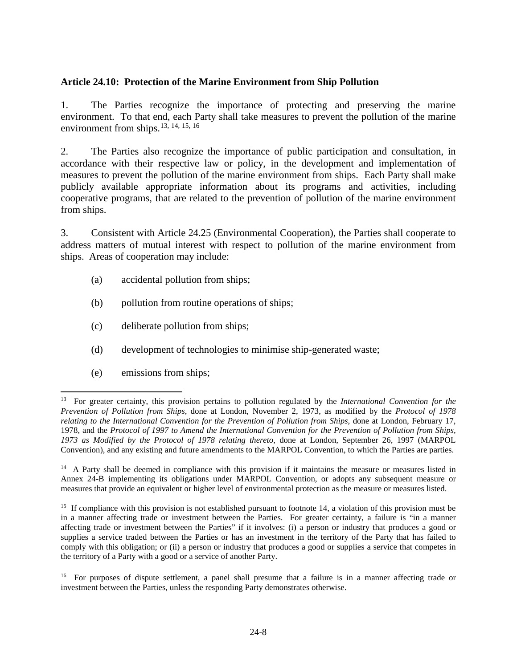#### **Article 24.10: Protection of the Marine Environment from Ship Pollution**

1. The Parties recognize the importance of protecting and preserving the marine environment. To that end, each Party shall take measures to prevent the pollution of the marine environment from ships.<sup>[13](#page-7-0), [14,](#page-7-1) [15,](#page-7-2) [16](#page-7-3)</sup>

2. The Parties also recognize the importance of public participation and consultation, in accordance with their respective law or policy, in the development and implementation of measures to prevent the pollution of the marine environment from ships. Each Party shall make publicly available appropriate information about its programs and activities, including cooperative programs, that are related to the prevention of pollution of the marine environment from ships.

3. Consistent with Article 24.25 (Environmental Cooperation), the Parties shall cooperate to address matters of mutual interest with respect to pollution of the marine environment from ships. Areas of cooperation may include:

- (a) accidental pollution from ships;
- (b) pollution from routine operations of ships;
- (c) deliberate pollution from ships;
- (d) development of technologies to minimise ship-generated waste;
- (e) emissions from ships;

l

<span id="page-7-1"></span><sup>14</sup> A Party shall be deemed in compliance with this provision if it maintains the measure or measures listed in Annex 24-B implementing its obligations under MARPOL Convention, or adopts any subsequent measure or measures that provide an equivalent or higher level of environmental protection as the measure or measures listed.

<span id="page-7-2"></span><sup>15</sup> If compliance with this provision is not established pursuant to footnote 14, a violation of this provision must be in a manner affecting trade or investment between the Parties. For greater certainty, a failure is "in a manner affecting trade or investment between the Parties" if it involves: (i) a person or industry that produces a good or supplies a service traded between the Parties or has an investment in the territory of the Party that has failed to comply with this obligation; or (ii) a person or industry that produces a good or supplies a service that competes in the territory of a Party with a good or a service of another Party.

<span id="page-7-0"></span><sup>13</sup> For greater certainty, this provision pertains to pollution regulated by the *International Convention for the Prevention of Pollution from Ships*, done at London, November 2, 1973, as modified by the *Protocol of 1978 relating to the International Convention for the Prevention of Pollution from Ships*, done at London, February 17, 1978, and the *Protocol of 1997 to Amend the International Convention for the Prevention of Pollution from Ships, 1973 as Modified by the Protocol of 1978 relating thereto*, done at London, September 26, 1997 (MARPOL Convention), and any existing and future amendments to the MARPOL Convention, to which the Parties are parties.

<span id="page-7-3"></span><sup>&</sup>lt;sup>16</sup> For purposes of dispute settlement, a panel shall presume that a failure is in a manner affecting trade or investment between the Parties, unless the responding Party demonstrates otherwise.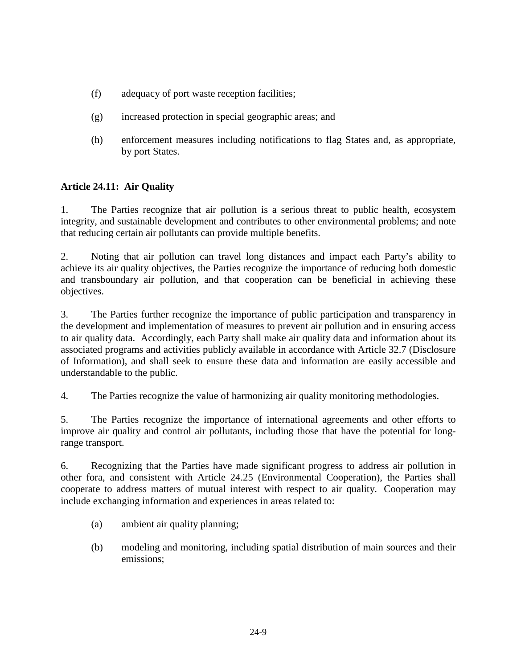- (f) adequacy of port waste reception facilities;
- (g) increased protection in special geographic areas; and
- (h) enforcement measures including notifications to flag States and, as appropriate, by port States.

## **Article 24.11: Air Quality**

1. The Parties recognize that air pollution is a serious threat to public health, ecosystem integrity, and sustainable development and contributes to other environmental problems; and note that reducing certain air pollutants can provide multiple benefits.

2. Noting that air pollution can travel long distances and impact each Party's ability to achieve its air quality objectives, the Parties recognize the importance of reducing both domestic and transboundary air pollution, and that cooperation can be beneficial in achieving these objectives.

3. The Parties further recognize the importance of public participation and transparency in the development and implementation of measures to prevent air pollution and in ensuring access to air quality data. Accordingly, each Party shall make air quality data and information about its associated programs and activities publicly available in accordance with Article 32.7 (Disclosure of Information), and shall seek to ensure these data and information are easily accessible and understandable to the public.

4. The Parties recognize the value of harmonizing air quality monitoring methodologies.

5. The Parties recognize the importance of international agreements and other efforts to improve air quality and control air pollutants, including those that have the potential for longrange transport.

6. Recognizing that the Parties have made significant progress to address air pollution in other fora, and consistent with Article 24.25 (Environmental Cooperation), the Parties shall cooperate to address matters of mutual interest with respect to air quality. Cooperation may include exchanging information and experiences in areas related to:

- (a) ambient air quality planning;
- (b) modeling and monitoring, including spatial distribution of main sources and their emissions;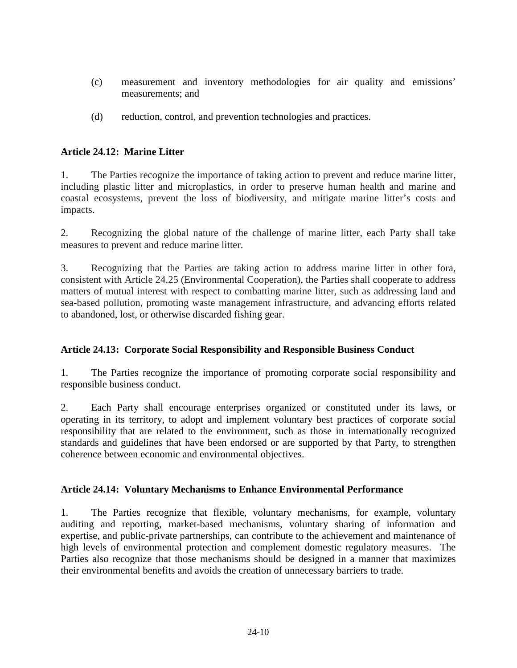- (c) measurement and inventory methodologies for air quality and emissions' measurements; and
- (d) reduction, control, and prevention technologies and practices.

### **Article 24.12: Marine Litter**

1. The Parties recognize the importance of taking action to prevent and reduce marine litter, including plastic litter and microplastics, in order to preserve human health and marine and coastal ecosystems, prevent the loss of biodiversity, and mitigate marine litter's costs and impacts.

2. Recognizing the global nature of the challenge of marine litter, each Party shall take measures to prevent and reduce marine litter.

3. Recognizing that the Parties are taking action to address marine litter in other fora, consistent with Article 24.25 (Environmental Cooperation), the Parties shall cooperate to address matters of mutual interest with respect to combatting marine litter, such as addressing land and sea-based pollution, promoting waste management infrastructure, and advancing efforts related to abandoned, lost, or otherwise discarded fishing gear.

## **Article 24.13: Corporate Social Responsibility and Responsible Business Conduct**

1. The Parties recognize the importance of promoting corporate social responsibility and responsible business conduct.

2. Each Party shall encourage enterprises organized or constituted under its laws, or operating in its territory, to adopt and implement voluntary best practices of corporate social responsibility that are related to the environment, such as those in internationally recognized standards and guidelines that have been endorsed or are supported by that Party, to strengthen coherence between economic and environmental objectives.

#### **Article 24.14: Voluntary Mechanisms to Enhance Environmental Performance**

1. The Parties recognize that flexible, voluntary mechanisms, for example, voluntary auditing and reporting, market-based mechanisms, voluntary sharing of information and expertise, and public-private partnerships, can contribute to the achievement and maintenance of high levels of environmental protection and complement domestic regulatory measures. The Parties also recognize that those mechanisms should be designed in a manner that maximizes their environmental benefits and avoids the creation of unnecessary barriers to trade.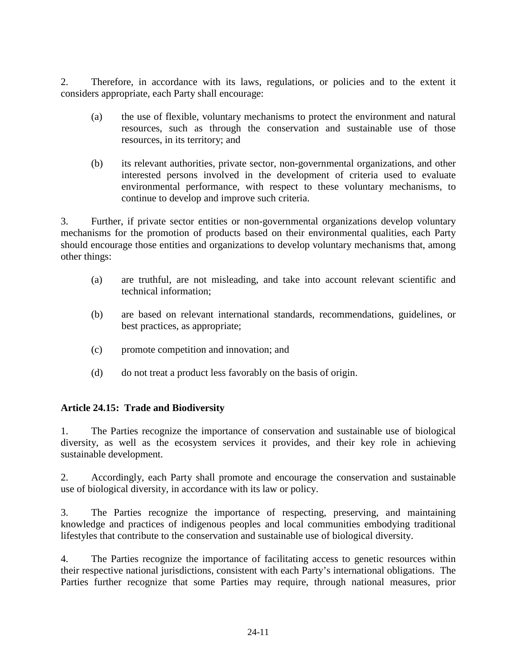2. Therefore, in accordance with its laws, regulations, or policies and to the extent it considers appropriate, each Party shall encourage:

- (a) the use of flexible, voluntary mechanisms to protect the environment and natural resources, such as through the conservation and sustainable use of those resources, in its territory; and
- (b) its relevant authorities, private sector, non-governmental organizations, and other interested persons involved in the development of criteria used to evaluate environmental performance, with respect to these voluntary mechanisms, to continue to develop and improve such criteria.

3. Further, if private sector entities or non-governmental organizations develop voluntary mechanisms for the promotion of products based on their environmental qualities, each Party should encourage those entities and organizations to develop voluntary mechanisms that, among other things:

- (a) are truthful, are not misleading, and take into account relevant scientific and technical information;
- (b) are based on relevant international standards, recommendations, guidelines, or best practices, as appropriate;
- (c) promote competition and innovation; and
- (d) do not treat a product less favorably on the basis of origin.

## **Article 24.15: Trade and Biodiversity**

1. The Parties recognize the importance of conservation and sustainable use of biological diversity, as well as the ecosystem services it provides, and their key role in achieving sustainable development.

2. Accordingly, each Party shall promote and encourage the conservation and sustainable use of biological diversity, in accordance with its law or policy.

3. The Parties recognize the importance of respecting, preserving, and maintaining knowledge and practices of indigenous peoples and local communities embodying traditional lifestyles that contribute to the conservation and sustainable use of biological diversity.

4. The Parties recognize the importance of facilitating access to genetic resources within their respective national jurisdictions, consistent with each Party's international obligations. The Parties further recognize that some Parties may require, through national measures, prior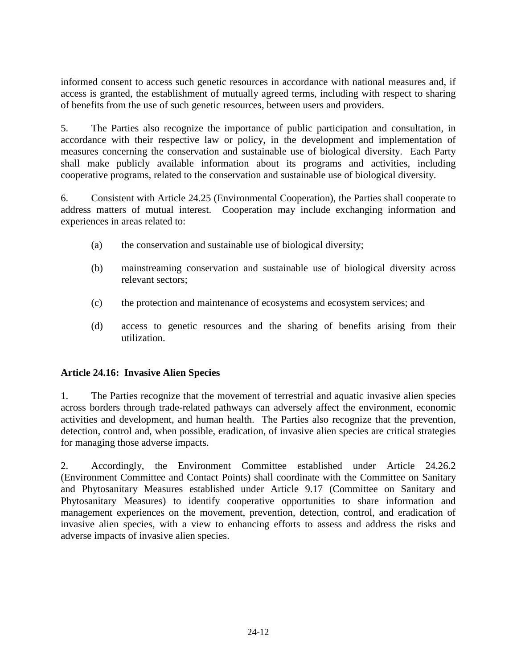informed consent to access such genetic resources in accordance with national measures and, if access is granted, the establishment of mutually agreed terms, including with respect to sharing of benefits from the use of such genetic resources, between users and providers.

5. The Parties also recognize the importance of public participation and consultation, in accordance with their respective law or policy, in the development and implementation of measures concerning the conservation and sustainable use of biological diversity. Each Party shall make publicly available information about its programs and activities, including cooperative programs, related to the conservation and sustainable use of biological diversity.

6. Consistent with Article 24.25 (Environmental Cooperation), the Parties shall cooperate to address matters of mutual interest. Cooperation may include exchanging information and experiences in areas related to:

- (a) the conservation and sustainable use of biological diversity;
- (b) mainstreaming conservation and sustainable use of biological diversity across relevant sectors;
- (c) the protection and maintenance of ecosystems and ecosystem services; and
- (d) access to genetic resources and the sharing of benefits arising from their utilization.

# **Article 24.16: Invasive Alien Species**

1. The Parties recognize that the movement of terrestrial and aquatic invasive alien species across borders through trade-related pathways can adversely affect the environment, economic activities and development, and human health. The Parties also recognize that the prevention, detection, control and, when possible, eradication, of invasive alien species are critical strategies for managing those adverse impacts.

2. Accordingly, the Environment Committee established under Article 24.26.2 (Environment Committee and Contact Points) shall coordinate with the Committee on Sanitary and Phytosanitary Measures established under Article 9.17 (Committee on Sanitary and Phytosanitary Measures) to identify cooperative opportunities to share information and management experiences on the movement, prevention, detection, control, and eradication of invasive alien species, with a view to enhancing efforts to assess and address the risks and adverse impacts of invasive alien species.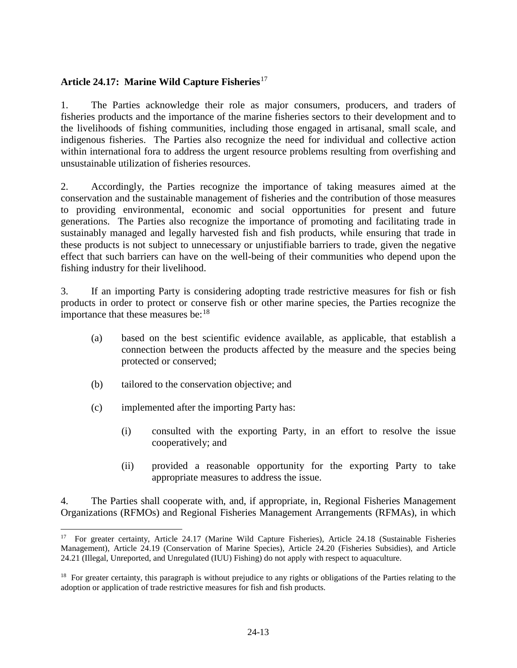### Article 24.[17](#page-12-0): Marine Wild Capture Fisheries<sup>17</sup>

1. The Parties acknowledge their role as major consumers, producers, and traders of fisheries products and the importance of the marine fisheries sectors to their development and to the livelihoods of fishing communities, including those engaged in artisanal, small scale, and indigenous fisheries. The Parties also recognize the need for individual and collective action within international fora to address the urgent resource problems resulting from overfishing and unsustainable utilization of fisheries resources.

2. Accordingly, the Parties recognize the importance of taking measures aimed at the conservation and the sustainable management of fisheries and the contribution of those measures to providing environmental, economic and social opportunities for present and future generations. The Parties also recognize the importance of promoting and facilitating trade in sustainably managed and legally harvested fish and fish products, while ensuring that trade in these products is not subject to unnecessary or unjustifiable barriers to trade, given the negative effect that such barriers can have on the well-being of their communities who depend upon the fishing industry for their livelihood.

3. If an importing Party is considering adopting trade restrictive measures for fish or fish products in order to protect or conserve fish or other marine species, the Parties recognize the importance that these measures be:<sup>[18](#page-12-1)</sup>

- (a) based on the best scientific evidence available, as applicable, that establish a connection between the products affected by the measure and the species being protected or conserved;
- (b) tailored to the conservation objective; and
- (c) implemented after the importing Party has:

 $\overline{a}$ 

- (i) consulted with the exporting Party, in an effort to resolve the issue cooperatively; and
- (ii) provided a reasonable opportunity for the exporting Party to take appropriate measures to address the issue.

4. The Parties shall cooperate with, and, if appropriate, in, Regional Fisheries Management Organizations (RFMOs) and Regional Fisheries Management Arrangements (RFMAs), in which

<span id="page-12-0"></span><sup>&</sup>lt;sup>17</sup> For greater certainty, Article 24.17 (Marine Wild Capture Fisheries), Article 24.18 (Sustainable Fisheries Management), Article 24.19 (Conservation of Marine Species), Article 24.20 (Fisheries Subsidies), and Article 24.21 (Illegal, Unreported, and Unregulated (IUU) Fishing) do not apply with respect to aquaculture.

<span id="page-12-1"></span><sup>&</sup>lt;sup>18</sup> For greater certainty, this paragraph is without prejudice to any rights or obligations of the Parties relating to the adoption or application of trade restrictive measures for fish and fish products.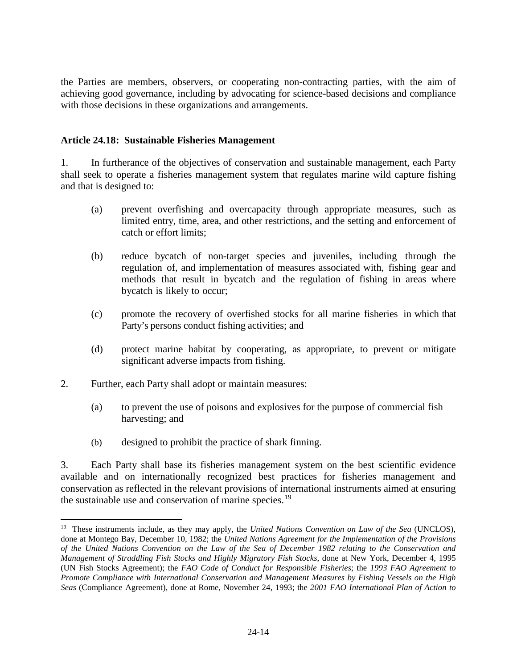the Parties are members, observers, or cooperating non-contracting parties, with the aim of achieving good governance, including by advocating for science-based decisions and compliance with those decisions in these organizations and arrangements.

#### **Article 24.18: Sustainable Fisheries Management**

1. In furtherance of the objectives of conservation and sustainable management, each Party shall seek to operate a fisheries management system that regulates marine wild capture fishing and that is designed to:

- (a) prevent overfishing and overcapacity through appropriate measures, such as limited entry, time, area, and other restrictions, and the setting and enforcement of catch or effort limits;
- (b) reduce bycatch of non-target species and juveniles, including through the regulation of, and implementation of measures associated with, fishing gear and methods that result in bycatch and the regulation of fishing in areas where bycatch is likely to occur;
- (c) promote the recovery of overfished stocks for all marine fisheries in which that Party's persons conduct fishing activities; and
- (d) protect marine habitat by cooperating, as appropriate, to prevent or mitigate significant adverse impacts from fishing.
- 2. Further, each Party shall adopt or maintain measures:

l

- (a) to prevent the use of poisons and explosives for the purpose of commercial fish harvesting; and
- (b) designed to prohibit the practice of shark finning.

3. Each Party shall base its fisheries management system on the best scientific evidence available and on internationally recognized best practices for fisheries management and conservation as reflected in the relevant provisions of international instruments aimed at ensuring the sustainable use and conservation of marine species.<sup>[19](#page-13-0)</sup>

<span id="page-13-0"></span><sup>&</sup>lt;sup>19</sup> These instruments include, as they may apply, the *United Nations Convention on Law of the Sea* (UNCLOS), done at Montego Bay, December 10, 1982; the *United Nations Agreement for the Implementation of the Provisions of the United Nations Convention on the Law of the Sea of December 1982 relating to the Conservation and Management of Straddling Fish Stocks and Highly Migratory Fish Stocks*, done at New York, December 4, 1995 (UN Fish Stocks Agreement); the *FAO Code of Conduct for Responsible Fisheries*; the *1993 FAO Agreement to Promote Compliance with International Conservation and Management Measures by Fishing Vessels on the High Seas* (Compliance Agreement), done at Rome, November 24, 1993; the *2001 FAO International Plan of Action to*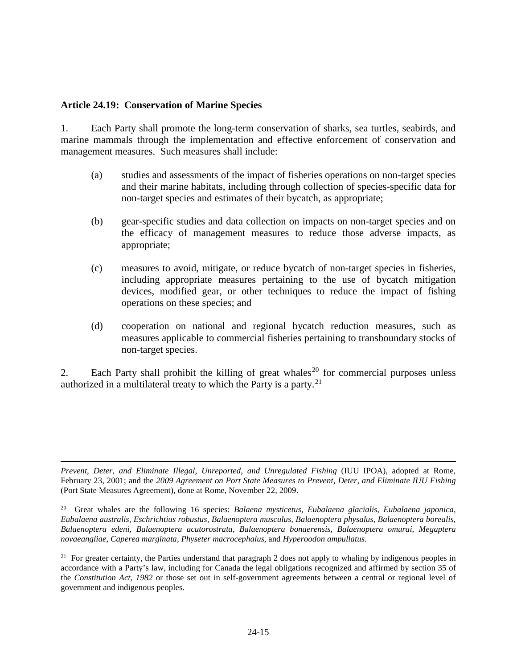#### **Article 24.19: Conservation of Marine Species**

l

1. Each Party shall promote the long-term conservation of sharks, sea turtles, seabirds, and marine mammals through the implementation and effective enforcement of conservation and management measures. Such measures shall include:

- (a) studies and assessments of the impact of fisheries operations on non-target species and their marine habitats, including through collection of species-specific data for non-target species and estimates of their bycatch, as appropriate;
- (b) gear-specific studies and data collection on impacts on non-target species and on the efficacy of management measures to reduce those adverse impacts, as appropriate;
- (c) measures to avoid, mitigate, or reduce bycatch of non-target species in fisheries, including appropriate measures pertaining to the use of bycatch mitigation devices, modified gear, or other techniques to reduce the impact of fishing operations on these species; and
- (d) cooperation on national and regional bycatch reduction measures, such as measures applicable to commercial fisheries pertaining to transboundary stocks of non-target species.

2. Each Party shall prohibit the killing of great whales<sup>[20](#page-14-0)</sup> for commercial purposes unless authorized in a multilateral treaty to which the Party is a party. $2<sup>1</sup>$ 

*Prevent, Deter, and Eliminate Illegal, Unreported, and Unregulated Fishing* (IUU IPOA), adopted at Rome, February 23, 2001; and the *2009 Agreement on Port State Measures to Prevent, Deter, and Eliminate IUU Fishing* (Port State Measures Agreement), done at Rome, November 22, 2009.

<span id="page-14-0"></span><sup>20</sup> Great whales are the following 16 species: *Balaena mysticetus, Eubalaena glacialis, Eubalaena japonica, Eubalaena australis, Eschrichtius robustus, Balaenoptera musculus, Balaenoptera physalus, Balaenoptera borealis, Balaenoptera edeni, Balaenoptera acutorostrata, Balaenoptera bonaerensis, Balaenoptera omurai, Megaptera novaeangliae, Caperea marginata, Physeter macrocephalus,* and *Hyperoodon ampullatus.*

<span id="page-14-1"></span><sup>&</sup>lt;sup>21</sup> For greater certainty, the Parties understand that paragraph 2 does not apply to whaling by indigenous peoples in accordance with a Party's law, including for Canada the legal obligations recognized and affirmed by section 35 of the *Constitution Act, 1982* or those set out in self-government agreements between a central or regional level of government and indigenous peoples.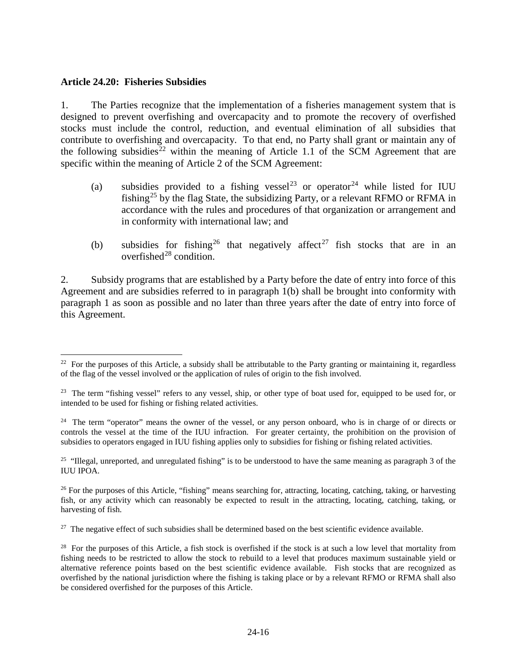#### **Article 24.20: Fisheries Subsidies**

1. The Parties recognize that the implementation of a fisheries management system that is designed to prevent overfishing and overcapacity and to promote the recovery of overfished stocks must include the control, reduction, and eventual elimination of all subsidies that contribute to overfishing and overcapacity. To that end, no Party shall grant or maintain any of the following subsidies<sup>[22](#page-15-0)</sup> within the meaning of Article 1.1 of the SCM Agreement that are specific within the meaning of Article 2 of the SCM Agreement:

- (a) subsidies provided to a fishing vessel<sup>[23](#page-15-1)</sup> or operator<sup>[24](#page-15-2)</sup> while listed for IUU fishing<sup>[25](#page-15-3)</sup> by the flag State, the subsidizing Party, or a relevant RFMO or RFMA in accordance with the rules and procedures of that organization or arrangement and in conformity with international law; and
- (b) subsidies for fishing<sup>[26](#page-15-4)</sup> that negatively affect<sup>[27](#page-15-5)</sup> fish stocks that are in an overfished<sup>[28](#page-15-6)</sup> condition.

2. Subsidy programs that are established by a Party before the date of entry into force of this Agreement and are subsidies referred to in paragraph 1(b) shall be brought into conformity with paragraph 1 as soon as possible and no later than three years after the date of entry into force of this Agreement.

<span id="page-15-0"></span> $\overline{a}$ <sup>22</sup> For the purposes of this Article, a subsidy shall be attributable to the Party granting or maintaining it, regardless of the flag of the vessel involved or the application of rules of origin to the fish involved.

<span id="page-15-1"></span><sup>&</sup>lt;sup>23</sup> The term "fishing vessel" refers to any vessel, ship, or other type of boat used for, equipped to be used for, or intended to be used for fishing or fishing related activities.

<span id="page-15-2"></span><sup>&</sup>lt;sup>24</sup> The term "operator" means the owner of the vessel, or any person onboard, who is in charge of or directs or controls the vessel at the time of the IUU infraction. For greater certainty, the prohibition on the provision of subsidies to operators engaged in IUU fishing applies only to subsidies for fishing or fishing related activities.

<span id="page-15-3"></span><sup>&</sup>lt;sup>25</sup> "Illegal, unreported, and unregulated fishing" is to be understood to have the same meaning as paragraph 3 of the IUU IPOA.

<span id="page-15-4"></span><sup>&</sup>lt;sup>26</sup> For the purposes of this Article, "fishing" means searching for, attracting, locating, catching, taking, or harvesting fish, or any activity which can reasonably be expected to result in the attracting, locating, catching, taking, or harvesting of fish.

<span id="page-15-5"></span> $27$  The negative effect of such subsidies shall be determined based on the best scientific evidence available.

<span id="page-15-6"></span><sup>&</sup>lt;sup>28</sup> For the purposes of this Article, a fish stock is overfished if the stock is at such a low level that mortality from fishing needs to be restricted to allow the stock to rebuild to a level that produces maximum sustainable yield or alternative reference points based on the best scientific evidence available. Fish stocks that are recognized as overfished by the national jurisdiction where the fishing is taking place or by a relevant RFMO or RFMA shall also be considered overfished for the purposes of this Article.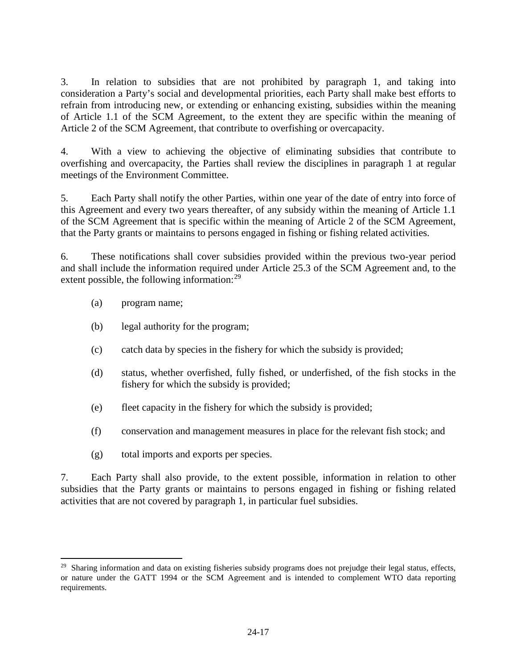3. In relation to subsidies that are not prohibited by paragraph 1, and taking into consideration a Party's social and developmental priorities, each Party shall make best efforts to refrain from introducing new, or extending or enhancing existing, subsidies within the meaning of Article 1.1 of the SCM Agreement, to the extent they are specific within the meaning of Article 2 of the SCM Agreement, that contribute to overfishing or overcapacity.

4. With a view to achieving the objective of eliminating subsidies that contribute to overfishing and overcapacity, the Parties shall review the disciplines in paragraph 1 at regular meetings of the Environment Committee.

5. Each Party shall notify the other Parties, within one year of the date of entry into force of this Agreement and every two years thereafter, of any subsidy within the meaning of Article 1.1 of the SCM Agreement that is specific within the meaning of Article 2 of the SCM Agreement, that the Party grants or maintains to persons engaged in fishing or fishing related activities.

6. These notifications shall cover subsidies provided within the previous two-year period and shall include the information required under Article 25.3 of the SCM Agreement and, to the extent possible, the following information:  $29$ 

(a) program name;

l

- (b) legal authority for the program;
- (c) catch data by species in the fishery for which the subsidy is provided;
- (d) status, whether overfished, fully fished, or underfished, of the fish stocks in the fishery for which the subsidy is provided;
- (e) fleet capacity in the fishery for which the subsidy is provided;
- (f) conservation and management measures in place for the relevant fish stock; and
- (g) total imports and exports per species.

7. Each Party shall also provide, to the extent possible, information in relation to other subsidies that the Party grants or maintains to persons engaged in fishing or fishing related activities that are not covered by paragraph 1, in particular fuel subsidies.

<span id="page-16-0"></span><sup>&</sup>lt;sup>29</sup> Sharing information and data on existing fisheries subsidy programs does not prejudge their legal status, effects, or nature under the GATT 1994 or the SCM Agreement and is intended to complement WTO data reporting requirements.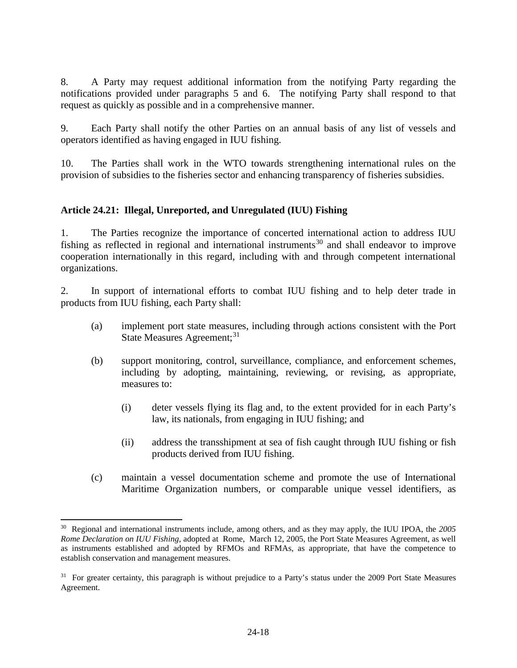8. A Party may request additional information from the notifying Party regarding the notifications provided under paragraphs 5 and 6. The notifying Party shall respond to that request as quickly as possible and in a comprehensive manner.

9. Each Party shall notify the other Parties on an annual basis of any list of vessels and operators identified as having engaged in IUU fishing.

10. The Parties shall work in the WTO towards strengthening international rules on the provision of subsidies to the fisheries sector and enhancing transparency of fisheries subsidies.

## **Article 24.21: Illegal, Unreported, and Unregulated (IUU) Fishing**

1. The Parties recognize the importance of concerted international action to address IUU fishing as reflected in regional and international instruments<sup>[30](#page-17-0)</sup> and shall endeavor to improve cooperation internationally in this regard, including with and through competent international organizations.

2. In support of international efforts to combat IUU fishing and to help deter trade in products from IUU fishing, each Party shall:

- (a) implement port state measures, including through actions consistent with the Port State Measures Agreement;<sup>[31](#page-17-1)</sup>
- (b) support monitoring, control, surveillance, compliance, and enforcement schemes, including by adopting, maintaining, reviewing, or revising, as appropriate, measures to:
	- (i) deter vessels flying its flag and, to the extent provided for in each Party's law, its nationals, from engaging in IUU fishing; and
	- (ii) address the transshipment at sea of fish caught through IUU fishing or fish products derived from IUU fishing.
- (c) maintain a vessel documentation scheme and promote the use of International Maritime Organization numbers, or comparable unique vessel identifiers, as

l

<span id="page-17-0"></span><sup>30</sup> Regional and international instruments include, among others, and as they may apply, the IUU IPOA, the *2005 Rome Declaration on IUU Fishing*, adopted at Rome, March 12, 2005, the Port State Measures Agreement, as well as instruments established and adopted by RFMOs and RFMAs, as appropriate, that have the competence to establish conservation and management measures.

<span id="page-17-1"></span><sup>&</sup>lt;sup>31</sup> For greater certainty, this paragraph is without prejudice to a Party's status under the 2009 Port State Measures Agreement.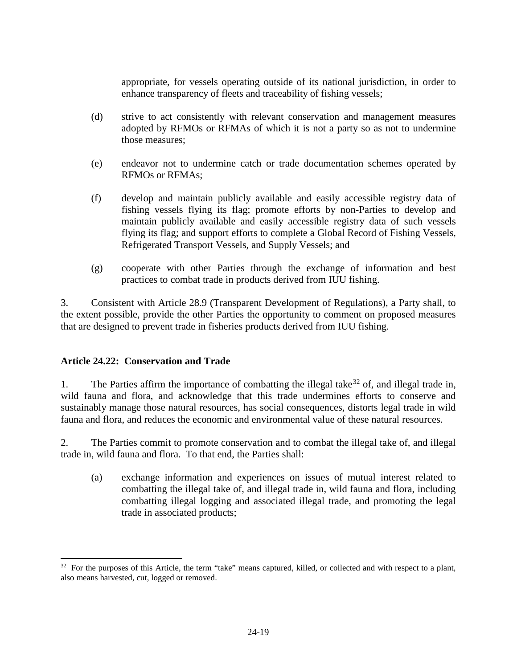appropriate, for vessels operating outside of its national jurisdiction, in order to enhance transparency of fleets and traceability of fishing vessels;

- (d) strive to act consistently with relevant conservation and management measures adopted by RFMOs or RFMAs of which it is not a party so as not to undermine those measures;
- (e) endeavor not to undermine catch or trade documentation schemes operated by RFMOs or RFMAs;
- (f) develop and maintain publicly available and easily accessible registry data of fishing vessels flying its flag; promote efforts by non-Parties to develop and maintain publicly available and easily accessible registry data of such vessels flying its flag; and support efforts to complete a Global Record of Fishing Vessels, Refrigerated Transport Vessels, and Supply Vessels; and
- (g) cooperate with other Parties through the exchange of information and best practices to combat trade in products derived from IUU fishing.

3. Consistent with Article 28.9 (Transparent Development of Regulations), a Party shall, to the extent possible, provide the other Parties the opportunity to comment on proposed measures that are designed to prevent trade in fisheries products derived from IUU fishing.

## **Article 24.22: Conservation and Trade**

1. The Parties affirm the importance of combatting the illegal take<sup>[32](#page-18-0)</sup> of, and illegal trade in, wild fauna and flora, and acknowledge that this trade undermines efforts to conserve and sustainably manage those natural resources, has social consequences, distorts legal trade in wild fauna and flora, and reduces the economic and environmental value of these natural resources.

2. The Parties commit to promote conservation and to combat the illegal take of, and illegal trade in, wild fauna and flora. To that end, the Parties shall:

(a) exchange information and experiences on issues of mutual interest related to combatting the illegal take of, and illegal trade in, wild fauna and flora, including combatting illegal logging and associated illegal trade, and promoting the legal trade in associated products;

<span id="page-18-0"></span>l  $32$  For the purposes of this Article, the term "take" means captured, killed, or collected and with respect to a plant, also means harvested, cut, logged or removed.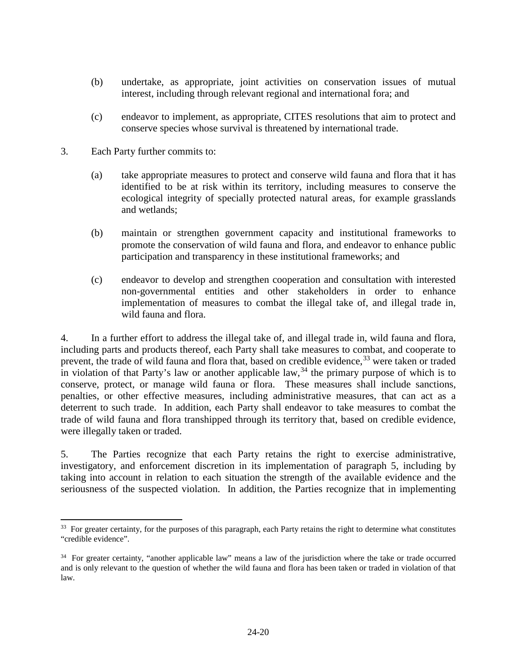- (b) undertake, as appropriate, joint activities on conservation issues of mutual interest, including through relevant regional and international fora; and
- (c) endeavor to implement, as appropriate, CITES resolutions that aim to protect and conserve species whose survival is threatened by international trade.
- 3. Each Party further commits to:

l

- (a) take appropriate measures to protect and conserve wild fauna and flora that it has identified to be at risk within its territory, including measures to conserve the ecological integrity of specially protected natural areas, for example grasslands and wetlands;
- (b) maintain or strengthen government capacity and institutional frameworks to promote the conservation of wild fauna and flora, and endeavor to enhance public participation and transparency in these institutional frameworks; and
- (c) endeavor to develop and strengthen cooperation and consultation with interested non-governmental entities and other stakeholders in order to enhance implementation of measures to combat the illegal take of, and illegal trade in, wild fauna and flora.

4. In a further effort to address the illegal take of, and illegal trade in, wild fauna and flora, including parts and products thereof, each Party shall take measures to combat, and cooperate to prevent, the trade of wild fauna and flora that, based on credible evidence,<sup>[33](#page-19-0)</sup> were taken or traded in violation of that Party's law or another applicable law,  $34$  the primary purpose of which is to conserve, protect, or manage wild fauna or flora. These measures shall include sanctions, penalties, or other effective measures, including administrative measures, that can act as a deterrent to such trade. In addition, each Party shall endeavor to take measures to combat the trade of wild fauna and flora transhipped through its territory that, based on credible evidence, were illegally taken or traded.

5. The Parties recognize that each Party retains the right to exercise administrative, investigatory, and enforcement discretion in its implementation of paragraph 5, including by taking into account in relation to each situation the strength of the available evidence and the seriousness of the suspected violation. In addition, the Parties recognize that in implementing

<span id="page-19-0"></span><sup>&</sup>lt;sup>33</sup> For greater certainty, for the purposes of this paragraph, each Party retains the right to determine what constitutes "credible evidence".

<span id="page-19-1"></span><sup>&</sup>lt;sup>34</sup> For greater certainty, "another applicable law" means a law of the jurisdiction where the take or trade occurred and is only relevant to the question of whether the wild fauna and flora has been taken or traded in violation of that law.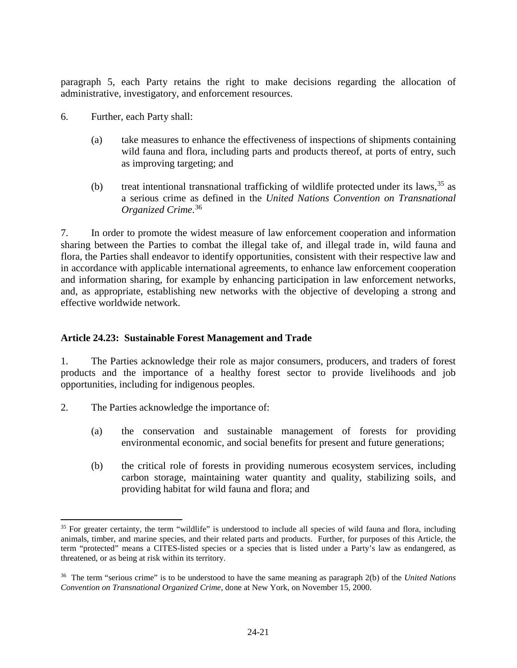paragraph 5, each Party retains the right to make decisions regarding the allocation of administrative, investigatory, and enforcement resources.

- 6. Further, each Party shall:
	- (a) take measures to enhance the effectiveness of inspections of shipments containing wild fauna and flora, including parts and products thereof, at ports of entry, such as improving targeting; and
	- (b) treat intentional transnational trafficking of wildlife protected under its laws,  $35$  as a serious crime as defined in the *United Nations Convention on Transnational Organized Crime*. [36](#page-20-1)

7. In order to promote the widest measure of law enforcement cooperation and information sharing between the Parties to combat the illegal take of, and illegal trade in, wild fauna and flora, the Parties shall endeavor to identify opportunities, consistent with their respective law and in accordance with applicable international agreements, to enhance law enforcement cooperation and information sharing, for example by enhancing participation in law enforcement networks, and, as appropriate, establishing new networks with the objective of developing a strong and effective worldwide network.

## **Article 24.23: Sustainable Forest Management and Trade**

1. The Parties acknowledge their role as major consumers, producers, and traders of forest products and the importance of a healthy forest sector to provide livelihoods and job opportunities, including for indigenous peoples.

2. The Parties acknowledge the importance of:

l

- (a) the conservation and sustainable management of forests for providing environmental economic, and social benefits for present and future generations;
- (b) the critical role of forests in providing numerous ecosystem services, including carbon storage, maintaining water quantity and quality, stabilizing soils, and providing habitat for wild fauna and flora; and

<span id="page-20-0"></span><sup>&</sup>lt;sup>35</sup> For greater certainty, the term "wildlife" is understood to include all species of wild fauna and flora, including animals, timber, and marine species, and their related parts and products. Further, for purposes of this Article, the term "protected" means a CITES-listed species or a species that is listed under a Party's law as endangered, as threatened, or as being at risk within its territory.

<span id="page-20-1"></span><sup>36</sup> The term "serious crime" is to be understood to have the same meaning as paragraph 2(b) of the *United Nations Convention on Transnational Organized Crime*, done at New York, on November 15, 2000.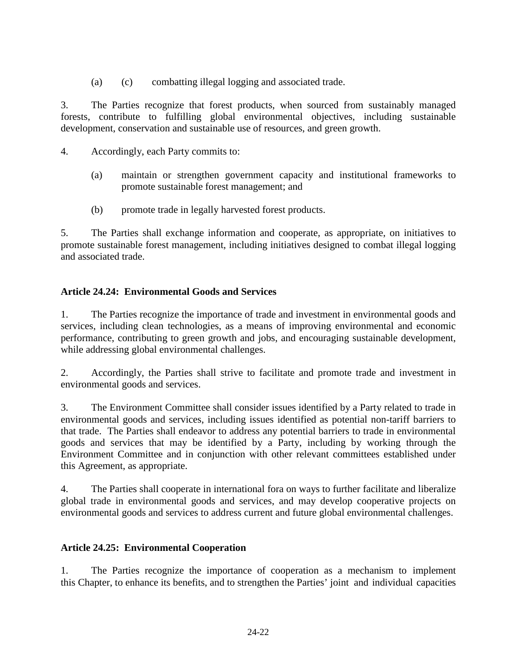(a) (c) combatting illegal logging and associated trade.

3. The Parties recognize that forest products, when sourced from sustainably managed forests, contribute to fulfilling global environmental objectives, including sustainable development, conservation and sustainable use of resources, and green growth.

- 4. Accordingly, each Party commits to:
	- (a) maintain or strengthen government capacity and institutional frameworks to promote sustainable forest management; and
	- (b) promote trade in legally harvested forest products.

5. The Parties shall exchange information and cooperate, as appropriate, on initiatives to promote sustainable forest management, including initiatives designed to combat illegal logging and associated trade.

### **Article 24.24: Environmental Goods and Services**

1. The Parties recognize the importance of trade and investment in environmental goods and services, including clean technologies, as a means of improving environmental and economic performance, contributing to green growth and jobs, and encouraging sustainable development, while addressing global environmental challenges.

2. Accordingly, the Parties shall strive to facilitate and promote trade and investment in environmental goods and services.

3. The Environment Committee shall consider issues identified by a Party related to trade in environmental goods and services, including issues identified as potential non-tariff barriers to that trade. The Parties shall endeavor to address any potential barriers to trade in environmental goods and services that may be identified by a Party, including by working through the Environment Committee and in conjunction with other relevant committees established under this Agreement, as appropriate.

4. The Parties shall cooperate in international fora on ways to further facilitate and liberalize global trade in environmental goods and services, and may develop cooperative projects on environmental goods and services to address current and future global environmental challenges.

#### **Article 24.25: Environmental Cooperation**

1. The Parties recognize the importance of cooperation as a mechanism to implement this Chapter, to enhance its benefits, and to strengthen the Parties' joint and individual capacities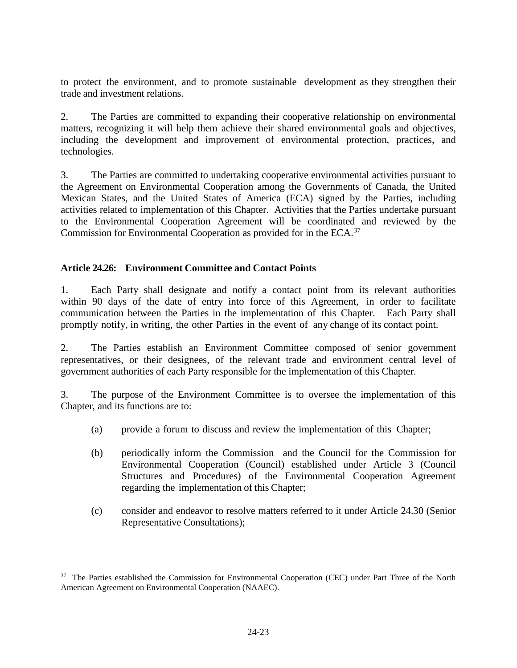to protect the environment, and to promote sustainable development as they strengthen their trade and investment relations.

2. The Parties are committed to expanding their cooperative relationship on environmental matters, recognizing it will help them achieve their shared environmental goals and objectives, including the development and improvement of environmental protection, practices, and technologies.

3. The Parties are committed to undertaking cooperative environmental activities pursuant to the Agreement on Environmental Cooperation among the Governments of Canada, the United Mexican States, and the United States of America (ECA) signed by the Parties, including activities related to implementation of this Chapter. Activities that the Parties undertake pursuant to the Environmental Cooperation Agreement will be coordinated and reviewed by the Commission for Environmental Cooperation as provided for in the ECA.<sup>[37](#page-22-0)</sup>

## **Article 24.26: Environment Committee and Contact Points**

l

1. Each Party shall designate and notify a contact point from its relevant authorities within 90 days of the date of entry into force of this Agreement, in order to facilitate communication between the Parties in the implementation of this Chapter. Each Party shall promptly notify, in writing, the other Parties in the event of any change of its contact point.

2. The Parties establish an Environment Committee composed of senior government representatives, or their designees, of the relevant trade and environment central level of government authorities of each Party responsible for the implementation of this Chapter.

3. The purpose of the Environment Committee is to oversee the implementation of this Chapter, and its functions are to:

- (a) provide a forum to discuss and review the implementation of this Chapter;
- (b) periodically inform the Commission and the Council for the Commission for Environmental Cooperation (Council) established under Article 3 (Council Structures and Procedures) of the Environmental Cooperation Agreement regarding the implementation of this Chapter;
- (c) consider and endeavor to resolve matters referred to it under Article 24.30 (Senior Representative Consultations);

<span id="page-22-0"></span><sup>&</sup>lt;sup>37</sup> The Parties established the Commission for Environmental Cooperation (CEC) under Part Three of the North American Agreement on Environmental Cooperation (NAAEC).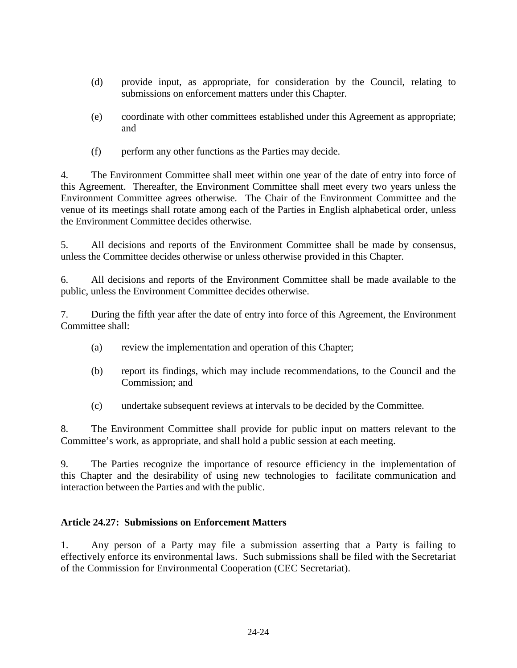- (d) provide input, as appropriate, for consideration by the Council, relating to submissions on enforcement matters under this Chapter.
- (e) coordinate with other committees established under this Agreement as appropriate; and
- (f) perform any other functions as the Parties may decide.

4. The Environment Committee shall meet within one year of the date of entry into force of this Agreement. Thereafter, the Environment Committee shall meet every two years unless the Environment Committee agrees otherwise. The Chair of the Environment Committee and the venue of its meetings shall rotate among each of the Parties in English alphabetical order, unless the Environment Committee decides otherwise.

5. All decisions and reports of the Environment Committee shall be made by consensus, unless the Committee decides otherwise or unless otherwise provided in this Chapter.

6. All decisions and reports of the Environment Committee shall be made available to the public, unless the Environment Committee decides otherwise.

7. During the fifth year after the date of entry into force of this Agreement, the Environment Committee shall:

- (a) review the implementation and operation of this Chapter;
- (b) report its findings, which may include recommendations, to the Council and the Commission; and
- (c) undertake subsequent reviews at intervals to be decided by the Committee.

8. The Environment Committee shall provide for public input on matters relevant to the Committee's work, as appropriate, and shall hold a public session at each meeting.

9. The Parties recognize the importance of resource efficiency in the implementation of this Chapter and the desirability of using new technologies to facilitate communication and interaction between the Parties and with the public.

## **Article 24.27: Submissions on Enforcement Matters**

1. Any person of a Party may file a submission asserting that a Party is failing to effectively enforce its environmental laws. Such submissions shall be filed with the Secretariat of the Commission for Environmental Cooperation (CEC Secretariat).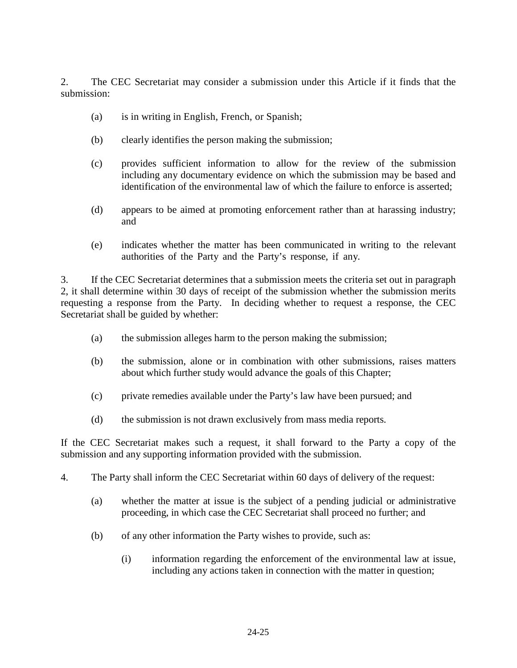2. The CEC Secretariat may consider a submission under this Article if it finds that the submission:

- (a) is in writing in English, French, or Spanish;
- (b) clearly identifies the person making the submission;
- (c) provides sufficient information to allow for the review of the submission including any documentary evidence on which the submission may be based and identification of the environmental law of which the failure to enforce is asserted;
- (d) appears to be aimed at promoting enforcement rather than at harassing industry; and
- (e) indicates whether the matter has been communicated in writing to the relevant authorities of the Party and the Party's response, if any.

3. If the CEC Secretariat determines that a submission meets the criteria set out in paragraph 2, it shall determine within 30 days of receipt of the submission whether the submission merits requesting a response from the Party. In deciding whether to request a response, the CEC Secretariat shall be guided by whether:

- (a) the submission alleges harm to the person making the submission;
- (b) the submission, alone or in combination with other submissions, raises matters about which further study would advance the goals of this Chapter;
- (c) private remedies available under the Party's law have been pursued; and
- (d) the submission is not drawn exclusively from mass media reports.

If the CEC Secretariat makes such a request, it shall forward to the Party a copy of the submission and any supporting information provided with the submission.

- 4. The Party shall inform the CEC Secretariat within 60 days of delivery of the request:
	- (a) whether the matter at issue is the subject of a pending judicial or administrative proceeding, in which case the CEC Secretariat shall proceed no further; and
	- (b) of any other information the Party wishes to provide, such as:
		- (i) information regarding the enforcement of the environmental law at issue, including any actions taken in connection with the matter in question;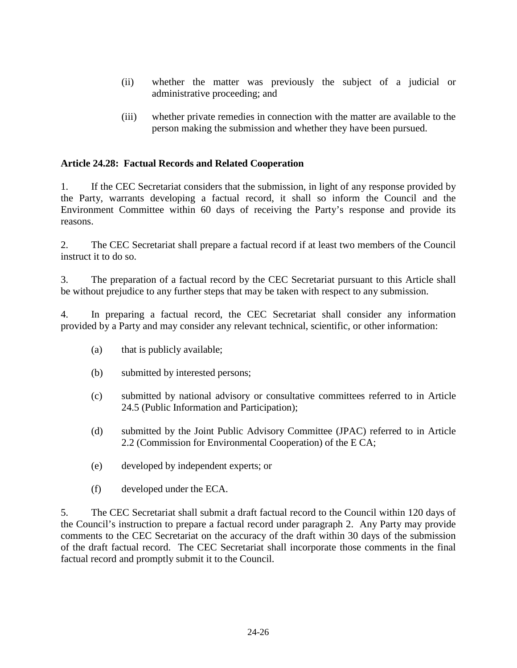- (ii) whether the matter was previously the subject of a judicial or administrative proceeding; and
- (iii) whether private remedies in connection with the matter are available to the person making the submission and whether they have been pursued.

### **Article 24.28: Factual Records and Related Cooperation**

1. If the CEC Secretariat considers that the submission, in light of any response provided by the Party, warrants developing a factual record, it shall so inform the Council and the Environment Committee within 60 days of receiving the Party's response and provide its reasons.

2. The CEC Secretariat shall prepare a factual record if at least two members of the Council instruct it to do so.

3. The preparation of a factual record by the CEC Secretariat pursuant to this Article shall be without prejudice to any further steps that may be taken with respect to any submission.

4. In preparing a factual record, the CEC Secretariat shall consider any information provided by a Party and may consider any relevant technical, scientific, or other information:

- (a) that is publicly available;
- (b) submitted by interested persons;
- (c) submitted by national advisory or consultative committees referred to in Article 24.5 (Public Information and Participation);
- (d) submitted by the Joint Public Advisory Committee (JPAC) referred to in Article 2.2 (Commission for Environmental Cooperation) of the E CA;
- (e) developed by independent experts; or
- (f) developed under the ECA.

5. The CEC Secretariat shall submit a draft factual record to the Council within 120 days of the Council's instruction to prepare a factual record under paragraph 2. Any Party may provide comments to the CEC Secretariat on the accuracy of the draft within 30 days of the submission of the draft factual record. The CEC Secretariat shall incorporate those comments in the final factual record and promptly submit it to the Council.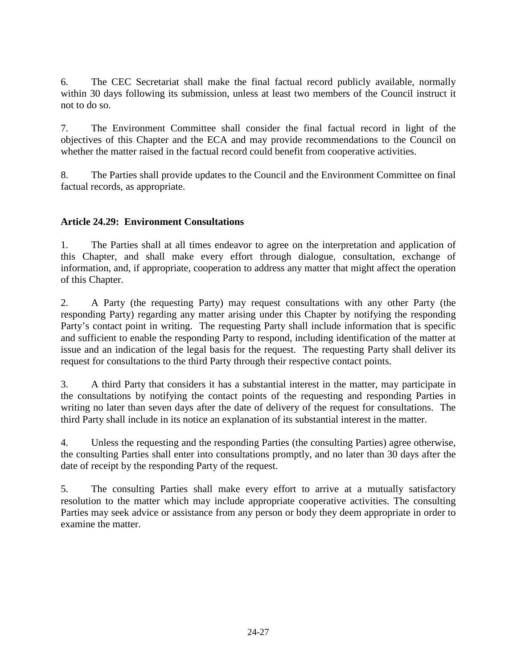6. The CEC Secretariat shall make the final factual record publicly available, normally within 30 days following its submission, unless at least two members of the Council instruct it not to do so.

7. The Environment Committee shall consider the final factual record in light of the objectives of this Chapter and the ECA and may provide recommendations to the Council on whether the matter raised in the factual record could benefit from cooperative activities.

8. The Parties shall provide updates to the Council and the Environment Committee on final factual records, as appropriate.

# **Article 24.29: Environment Consultations**

1. The Parties shall at all times endeavor to agree on the interpretation and application of this Chapter, and shall make every effort through dialogue, consultation, exchange of information, and, if appropriate, cooperation to address any matter that might affect the operation of this Chapter.

2. A Party (the requesting Party) may request consultations with any other Party (the responding Party) regarding any matter arising under this Chapter by notifying the responding Party's contact point in writing. The requesting Party shall include information that is specific and sufficient to enable the responding Party to respond, including identification of the matter at issue and an indication of the legal basis for the request. The requesting Party shall deliver its request for consultations to the third Party through their respective contact points.

3. A third Party that considers it has a substantial interest in the matter, may participate in the consultations by notifying the contact points of the requesting and responding Parties in writing no later than seven days after the date of delivery of the request for consultations. The third Party shall include in its notice an explanation of its substantial interest in the matter.

4. Unless the requesting and the responding Parties (the consulting Parties) agree otherwise, the consulting Parties shall enter into consultations promptly, and no later than 30 days after the date of receipt by the responding Party of the request.

5. The consulting Parties shall make every effort to arrive at a mutually satisfactory resolution to the matter which may include appropriate cooperative activities. The consulting Parties may seek advice or assistance from any person or body they deem appropriate in order to examine the matter.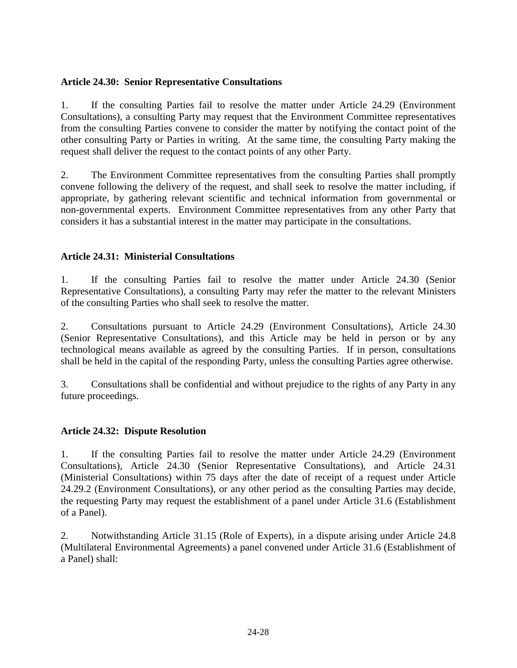## **Article 24.30: Senior Representative Consultations**

1. If the consulting Parties fail to resolve the matter under Article 24.29 (Environment Consultations), a consulting Party may request that the Environment Committee representatives from the consulting Parties convene to consider the matter by notifying the contact point of the other consulting Party or Parties in writing. At the same time, the consulting Party making the request shall deliver the request to the contact points of any other Party.

2. The Environment Committee representatives from the consulting Parties shall promptly convene following the delivery of the request, and shall seek to resolve the matter including, if appropriate, by gathering relevant scientific and technical information from governmental or non-governmental experts. Environment Committee representatives from any other Party that considers it has a substantial interest in the matter may participate in the consultations.

### **Article 24.31: Ministerial Consultations**

1. If the consulting Parties fail to resolve the matter under Article 24.30 (Senior Representative Consultations), a consulting Party may refer the matter to the relevant Ministers of the consulting Parties who shall seek to resolve the matter.

2. Consultations pursuant to Article 24.29 (Environment Consultations), Article 24.30 (Senior Representative Consultations), and this Article may be held in person or by any technological means available as agreed by the consulting Parties. If in person, consultations shall be held in the capital of the responding Party, unless the consulting Parties agree otherwise.

3. Consultations shall be confidential and without prejudice to the rights of any Party in any future proceedings.

## **Article 24.32: Dispute Resolution**

1. If the consulting Parties fail to resolve the matter under Article 24.29 (Environment Consultations), Article 24.30 (Senior Representative Consultations), and Article 24.31 (Ministerial Consultations) within 75 days after the date of receipt of a request under Article 24.29.2 (Environment Consultations), or any other period as the consulting Parties may decide, the requesting Party may request the establishment of a panel under Article 31.6 (Establishment of a Panel).

2. Notwithstanding Article 31.15 (Role of Experts), in a dispute arising under Article 24.8 (Multilateral Environmental Agreements) a panel convened under Article 31.6 (Establishment of a Panel) shall: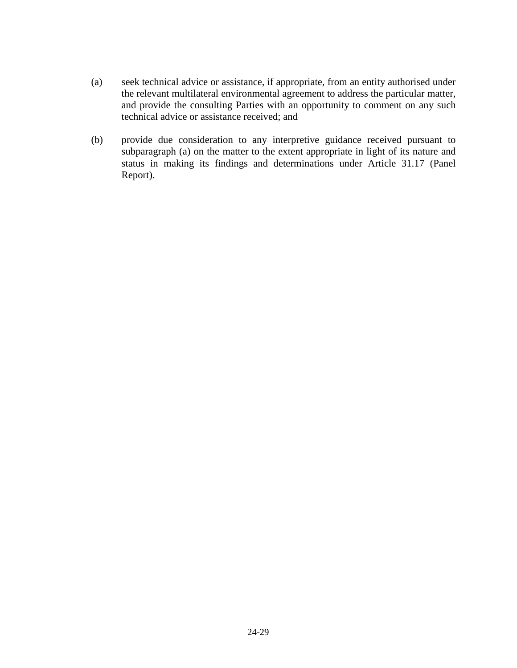- (a) seek technical advice or assistance, if appropriate, from an entity authorised under the relevant multilateral environmental agreement to address the particular matter, and provide the consulting Parties with an opportunity to comment on any such technical advice or assistance received; and
- (b) provide due consideration to any interpretive guidance received pursuant to subparagraph (a) on the matter to the extent appropriate in light of its nature and status in making its findings and determinations under Article 31.17 (Panel Report).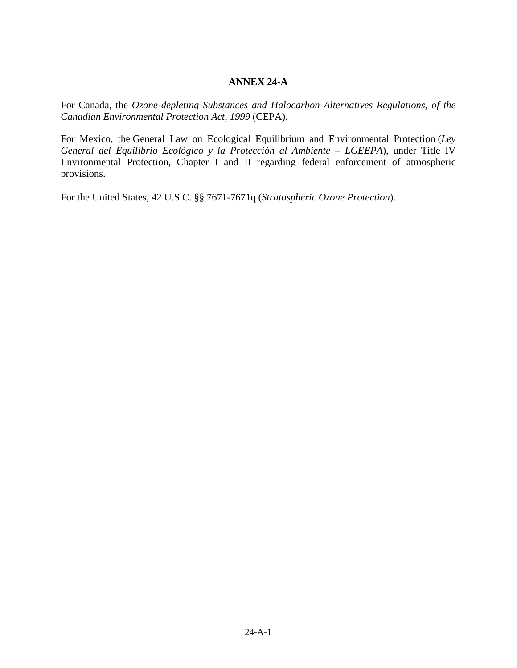#### **ANNEX 24-A**

For Canada, the *Ozone-depleting Substances and Halocarbon Alternatives Regulations, of the Canadian Environmental Protection Act, 1999* (CEPA).

For Mexico, the General Law on Ecological Equilibrium and Environmental Protection (*Ley General del Equilibrio Ecológico y la Protección al Ambiente – LGEEPA*), under Title IV Environmental Protection, Chapter I and II regarding federal enforcement of atmospheric provisions.

For the United States, 42 U.S.C. §§ 7671-7671q (*Stratospheric Ozone Protection*).